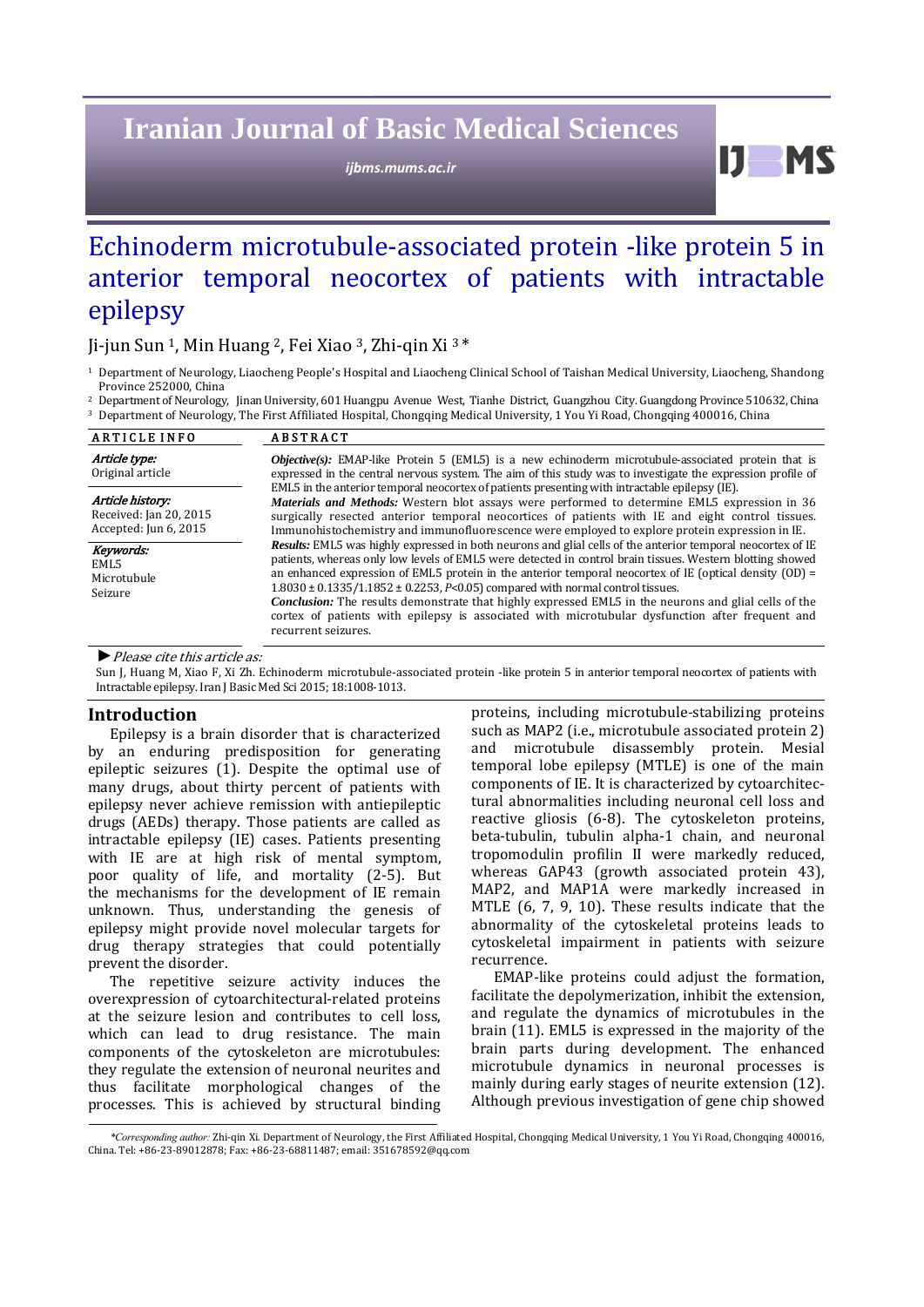# **Iranian Journal of Basic Medical Sciences**

*ijbms.mums.ac.ir*

# Echinoderm microtubule-associated protein -like protein 5 in anterior temporal neocortex of patients with intractable epilepsy

# Ji-jun Sun<sup>1</sup>, Min Huang<sup>2</sup>, Fei Xiao<sup>3</sup>, Zhi-qin Xi<sup>3\*</sup>

<sup>1</sup> Department of Neurology, Liaocheng People's Hospital and Liaocheng Clinical School of Taishan Medical University, Liaocheng, Shandong Province 252000, China

<sup>2</sup> Department of Neurology, Jinan University, 601 Huangpu Avenue West, Tianhe District, Guangzhou City. Guangdong Province 510632, China <sup>3</sup> Department of Neurology, The First Affiliated Hospital, Chongqing Medical University, 1 You Yi Road, Chongqing 400016, China

| <b>ARTICLE INFO</b>                                                 | <b>ABSTRACT</b>                                                                                                                                                                                                                                                                                                                                                                                                                                                                                                                                                                                                                                                         |  |  |  |  |  |
|---------------------------------------------------------------------|-------------------------------------------------------------------------------------------------------------------------------------------------------------------------------------------------------------------------------------------------------------------------------------------------------------------------------------------------------------------------------------------------------------------------------------------------------------------------------------------------------------------------------------------------------------------------------------------------------------------------------------------------------------------------|--|--|--|--|--|
| Article type:<br>Original article                                   | <b><i>Objective(s)</i></b> : EMAP-like Protein 5 (EML5) is a new echinoderm microtubule-associated protein that is<br>expressed in the central nervous system. The aim of this study was to investigate the expression profile of                                                                                                                                                                                                                                                                                                                                                                                                                                       |  |  |  |  |  |
| Article history:<br>Received: Jan 20, 2015<br>Accepted: Jun 6, 2015 | EML5 in the anterior temporal neocortex of patients presenting with intractable epilepsy (IE).<br><i>Materials and Methods:</i> Western blot assays were performed to determine EML5 expression in 36<br>surgically resected anterior temporal neocortices of patients with IE and eight control tissues.<br>Immunohistochemistry and immunofluorescence were employed to explore protein expression in IE.                                                                                                                                                                                                                                                             |  |  |  |  |  |
| Keywords:<br>EML5<br>Microtubule<br>Seizure                         | Results: EML5 was highly expressed in both neurons and glial cells of the anterior temporal neocortex of IE<br>patients, whereas only low levels of EML5 were detected in control brain tissues. Western blotting showed<br>an enhanced expression of EML5 protein in the anterior temporal neocortex of IE (optical density $(OD) =$<br>$1.8030 \pm 0.1335/1.1852 \pm 0.2253$ , P<0.05) compared with normal control tissues.<br><b>Conclusion:</b> The results demonstrate that highly expressed EML5 in the neurons and glial cells of the<br>cortex of patients with epilepsy is associated with microtubular dysfunction after frequent and<br>recurrent seizures. |  |  |  |  |  |

▶ *Please cite this article as:* 

Sun J, Huang M, Xiao F, Xi Zh. Echinoderm microtubule-associated protein -like protein 5 in anterior temporal neocortex of patients with Intractable epilepsy. Iran J Basic Med Sci 2015; 18:1008-1013.

# **Introduction**

Epilepsy is a brain disorder that is characterized by an enduring predisposition for generating epileptic seizures  $(1)$ . Despite the optimal use of many drugs, about thirty percent of patients with epilepsy never achieve remission with antiepileptic drugs (AEDs) therapy. Those patients are called as intractable epilepsy (IE) cases. Patients presenting with IE are at high risk of mental symptom, poor quality of life, and mortality (2-5). But the mechanisms for the development of IE remain unknown. Thus, understanding the genesis of epilepsy might provide novel molecular targets for drug therapy strategies that could potentially prevent the disorder.

The repetitive seizure activity induces the overexpression of cytoarchitectural-related proteins at the seizure lesion and contributes to cell loss, which can lead to drug resistance. The main components of the cytoskeleton are microtubules: they regulate the extension of neuronal neurites and thus facilitate morphological changes of the processes. This is achieved by structural binding proteins, including microtubule-stabilizing proteins such as MAP2 (i.e., microtubule associated protein 2) and microtubule disassembly protein. Mesial temporal lobe epilepsy (MTLE) is one of the main components of IE. It is characterized by cytoarchitectural abnormalities including neuronal cell loss and reactive gliosis (6-8). The cytoskeleton proteins, beta-tubulin, tubulin alpha-1 chain, and neuronal tropomodulin profilin II were markedly reduced, whereas GAP43 (growth associated protein 43), MAP2, and MAP1A were markedly increased in MTLE  $(6, 7, 9, 10)$ . These results indicate that the abnormality of the cytoskeletal proteins leads to cytoskeletal impairment in patients with seizure recurrence. 

 $11$  MS

EMAP-like proteins could adjust the formation, facilitate the depolymerization, inhibit the extension, and regulate the dynamics of microtubules in the brain (11). EML5 is expressed in the majority of the brain parts during development. The enhanced microtubule dynamics in neuronal processes is mainly during early stages of neurite extension (12). Although previous investigation of gene chip showed

\*Corresponding author: Zhi-qin Xi. Department of Neurology, the First Affiliated Hospital, Chongqing Medical University, 1 You Yi Road, Chongqing 400016, China. Tel: +86‐23‐89012878; Fax: +86‐23‐68811487; email: 351678592@qq.com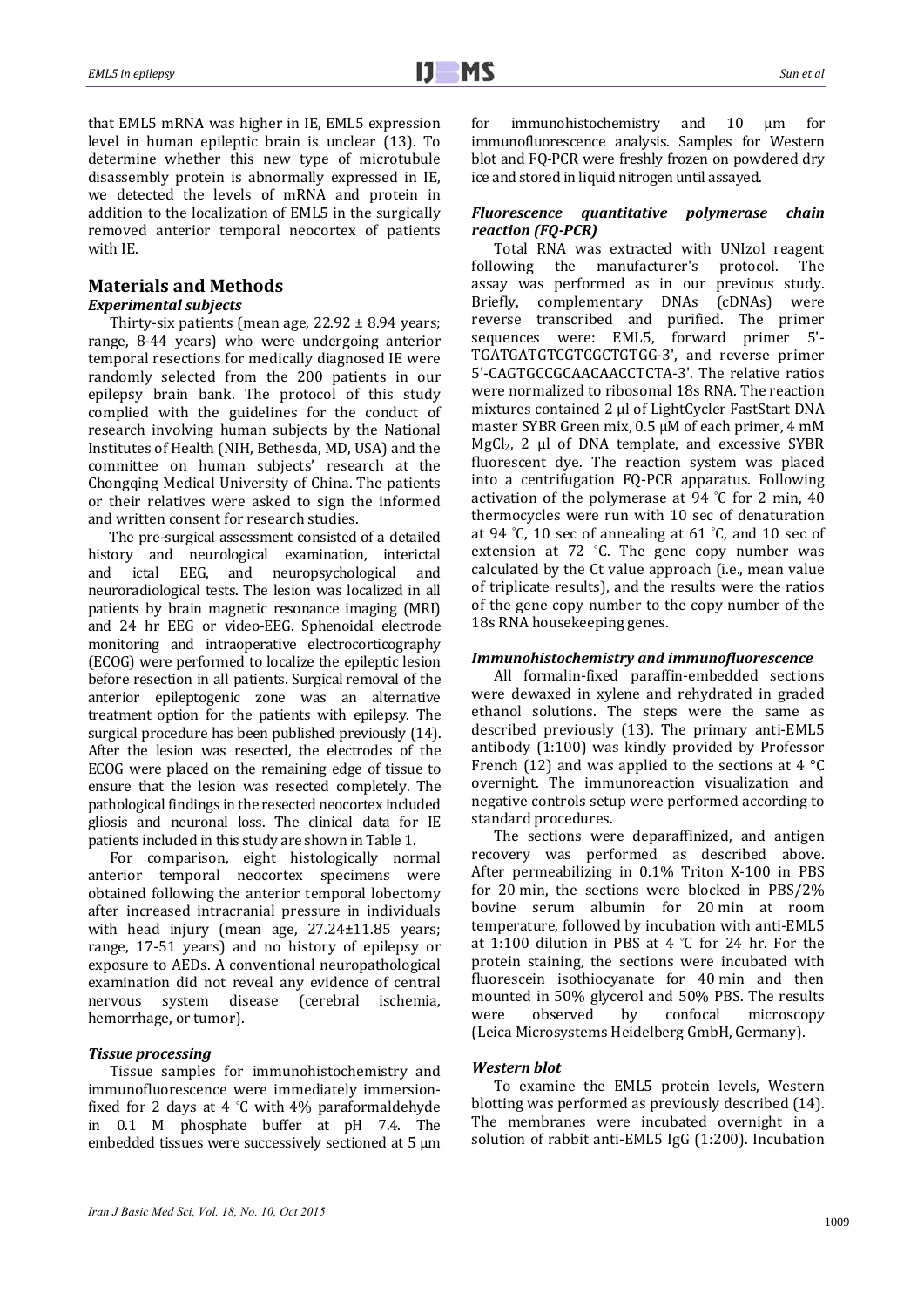that EML5 mRNA was higher in IE, EML5 expression level in human epileptic brain is unclear (13). To determine whether this new type of microtubule disassembly protein is abnormally expressed in IE, we detected the levels of mRNA and protein in addition to the localization of EML5 in the surgically removed anterior temporal neocortex of patients with IE.

# **Materials and Methods**

# *Experimental subjects*

Thirty-six patients (mean age,  $22.92 \pm 8.94$  years; range, 8-44 years) who were undergoing anterior temporal resections for medically diagnosed IE were randomly selected from the 200 patients in our epilepsy brain bank. The protocol of this study complied with the guidelines for the conduct of research involving human subjects by the National Institutes of Health (NIH, Bethesda, MD, USA) and the committee on human subjects' research at the Chongqing Medical University of China. The patients or their relatives were asked to sign the informed and written consent for research studies.

The pre-surgical assessment consisted of a detailed history and neurological examination, interictal and ictal EEG, and neuropsychological and neuroradiological tests. The lesion was localized in all patients by brain magnetic resonance imaging (MRI) and 24 hr EEG or video-EEG. Sphenoidal electrode monitoring and intraoperative electrocorticography (ECOG) were performed to localize the epileptic lesion before resection in all patients. Surgical removal of the anterior epileptogenic zone was an alternative treatment option for the patients with epilepsy. The surgical procedure has been published previously (14). After the lesion was resected, the electrodes of the ECOG were placed on the remaining edge of tissue to ensure that the lesion was resected completely. The pathological findings in the resected neocortex included gliosis and neuronal loss. The clinical data for IE patients included in this study are shown in Table 1.

For comparison, eight histologically normal anterior temporal neocortex specimens were obtained following the anterior temporal lobectomy after increased intracranial pressure in individuals with head injury (mean age, 27.24±11.85 years; range, 17-51 years) and no history of epilepsy or exposure to AEDs. A conventional neuropathological examination did not reveal any evidence of central nervous system disease (cerebral ischemia, hemorrhage, or tumor).

#### *Tissue processing*

Tissue samples for immunohistochemistry and immunofluorescence were immediately immersionfixed for 2 days at 4  $°C$  with 4% paraformaldehyde in 0.1 M phosphate buffer at pH 7.4. The embedded tissues were successively sectioned at  $5 \mu m$ 

for immunohistochemistry and 10 μm for immunofluorescence analysis. Samples for Western blot and FQ-PCR were freshly frozen on powdered dry ice and stored in liquid nitrogen until assayed.

## *Fluorescence quantitative polymerase chain reaction (FQ‐PCR)*

Total RNA was extracted with UNIzol reagent following the manufacturer's protocol. The assay was performed as in our previous study. Briefly, complementary DNAs (cDNAs) were reverse transcribed and purified. The primer sequences were: EML5, forward primer 5'sequences were: EML5, TGATGATGTCGTCGCTGTGG-3', and reverse primer 5'-CAGTGCCGCAACAACCTCTA-3'. The relative ratios were normalized to ribosomal 18s RNA. The reaction mixtures contained 2 µl of LightCycler FastStart DNA master SYBR Green mix, 0.5  $\mu$ M of each primer, 4 mM  $MeCl<sub>2</sub>$ , 2 ul of DNA template, and excessive SYBR fluorescent dye. The reaction system was placed into a centrifugation FQ-PCR apparatus. Following activation of the polymerase at  $94$  °C for 2 min,  $40$ thermocycles were run with 10 sec of denaturation at 94 °C, 10 sec of annealing at 61 °C, and 10 sec of extension at  $72$  °C. The gene copy number was calculated by the Ct value approach (i.e., mean value of triplicate results), and the results were the ratios of the gene copy number to the copy number of the 18s RNA housekeeping genes.

#### *Immunohistochemistry and immunofluorescence*

All formalin-fixed paraffin-embedded sections were dewaxed in xylene and rehydrated in graded ethanol solutions. The steps were the same as described previously (13). The primary anti-EML5 antibody  $(1:100)$  was kindly provided by Professor French (12) and was applied to the sections at 4  $\degree$ C overnight. The immunoreaction visualization and negative controls setup were performed according to standard procedures.

The sections were deparaffinized, and antigen recovery was performed as described above. After permeabilizing in  $0.1\%$  Triton X-100 in PBS for 20 min, the sections were blocked in  $PBS/2\%$ bovine serum albumin for 20 min at room temperature, followed by incubation with anti-EML5 at 1:100 dilution in PBS at 4  $°C$  for 24 hr. For the protein staining, the sections were incubated with fluorescein isothiocyanate for 40 min and then mounted in 50% glycerol and 50% PBS. The results were observed by confocal microscopy (Leica Microsystems Heidelberg GmbH, Germany). 

#### *Western blot*

To examine the EML5 protein levels, Western blotting was performed as previously described (14). The membranes were incubated overnight in a solution of rabbit anti-EML5 IgG (1:200). Incubation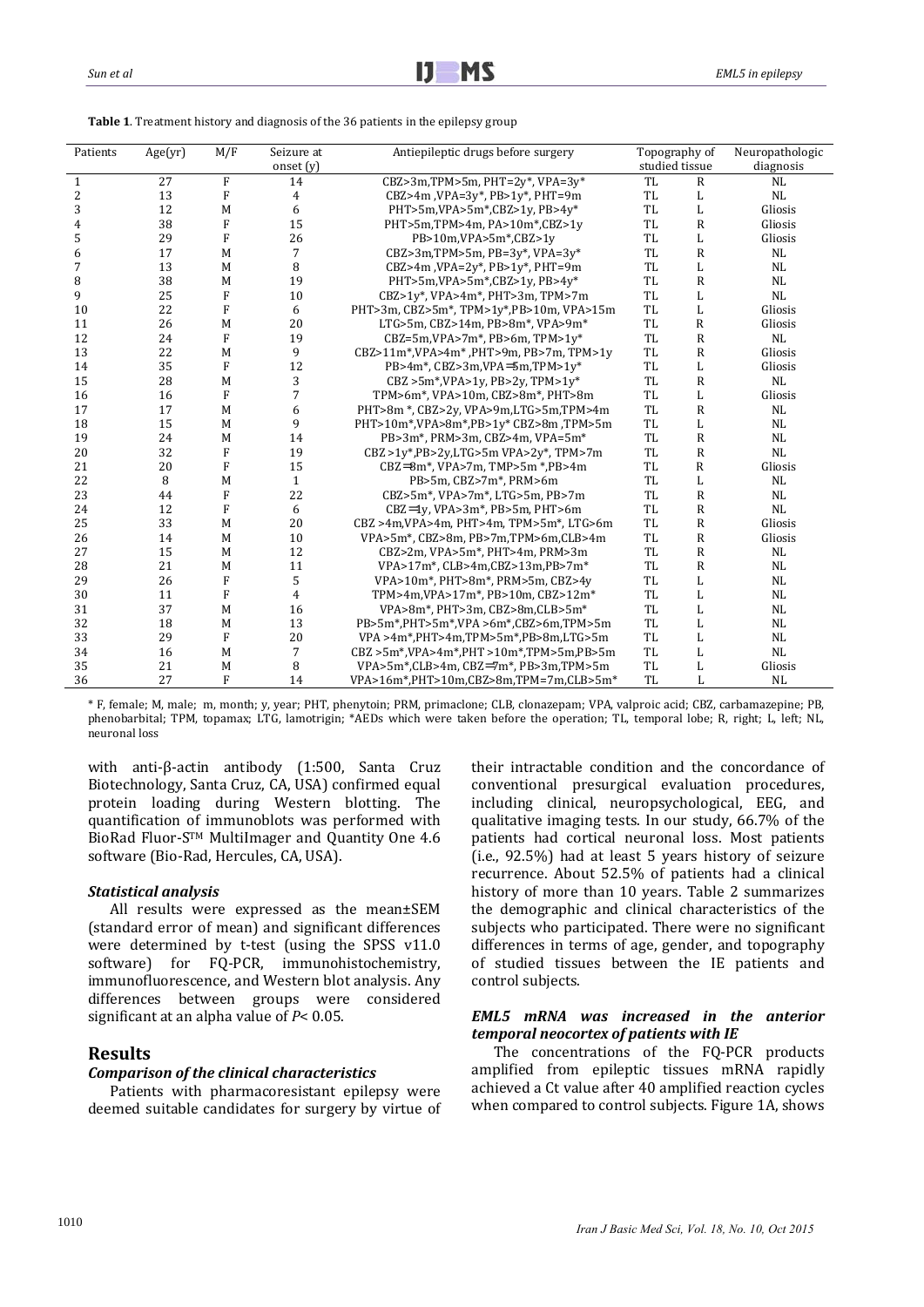**Table 1**. Treatment history and diagnosis of the 36 patients in the epilepsy group

| Patients                | Age(yr) | M/F            | Seizure at<br>onset $(y)$ | Antiepileptic drugs before surgery                                     | Topography of<br>studied tissue            |              | Neuropathologic<br>diagnosis |
|-------------------------|---------|----------------|---------------------------|------------------------------------------------------------------------|--------------------------------------------|--------------|------------------------------|
| $\mathbf{1}$            | 27      | F              | 14                        | CBZ>3m,TPM>5m, PHT=2 $v^*$ , VPA=3 $v^*$                               | <b>TL</b>                                  | $\mathbf R$  | NL                           |
| $\overline{\mathbf{c}}$ | 13      | $\mathbf F$    | 4                         | CBZ>4m, VPA=3y*, PB>1y*, PHT=9m                                        | TL                                         | L            | NL                           |
| 3                       | 12      | M              | 6                         | PHT>5m,VPA>5m*,CBZ>1y, PB>4y*                                          | TL                                         |              | Gliosis                      |
|                         | 38      | ${\bf F}$      | 15                        | PHT>5m,TPM>4m, PA>10m*,CBZ>1y                                          | L                                          |              | Gliosis                      |
| 4                       | 29      | F              | 26                        |                                                                        | <b>TL</b><br>R                             |              |                              |
| 5                       |         |                |                           | PB>10m,VPA>5m*,CBZ>1y                                                  | TL<br>L                                    |              | Gliosis                      |
| 6                       | 17      | M              | 7                         | CBZ>3m,TPM>5m, PB=3y*, VPA=3y*                                         | <b>TL</b><br>R                             |              | NL                           |
| 7                       | 13      | M              | 8                         |                                                                        | CBZ>4m, VPA=2y*, PB>1y*, PHT=9m<br>TL<br>L |              | NL                           |
| 8                       | 38      | M              | 19                        | PHT>5m,VPA>5m*,CBZ>1y, PB>4y*                                          | TL<br>$\mathbb{R}$                         |              | <b>NL</b>                    |
| 9                       | 25      | F              | 10                        | CBZ>1y*, VPA>4m*, PHT>3m, TPM>7m<br>TL                                 |                                            | L            | NL                           |
| 10                      | 22      | $\overline{F}$ | 6                         | PHT>3m, CBZ>5m*, TPM>1v*, PB>10m, VPA>15m                              | TL<br>L                                    |              | Gliosis                      |
| 11                      | 26      | M              | 20                        | LTG>5m, CBZ>14m, PB>8m*, VPA>9m*                                       | TL<br>R                                    |              | Gliosis                      |
| 12                      | 24      | F              | 19                        | CBZ=5m, VPA>7m*, PB>6m, TPM>1 $v^*$                                    | <b>TL</b>                                  | $\mathbb{R}$ | NL                           |
| 13                      | 22      | M              | 9                         | CBZ>11m*,VPA>4m*,PHT>9m, PB>7m, TPM>1y                                 | TL                                         | R            | Gliosis                      |
| 14                      | 35      | F              | 12                        | $PB > 4m$ *, CBZ>3m, VPA $\equiv 5m$ , TPM> $1v$ *                     | <b>TL</b>                                  | L            | Gliosis                      |
| 15                      | 28      | M              | 3                         | $CBZ > 5m$ *, VPA>1y, PB>2y, TPM>1y*                                   | <b>TL</b>                                  | $\mathbb{R}$ | NL                           |
| 16                      | 16      | F              | 7                         | TPM>6m*, VPA>10m, CBZ>8m*, PHT>8m                                      | <b>TL</b>                                  | L            | Gliosis                      |
| 17                      | 17      | M              | 6                         | PHT>8m *, CBZ>2y, VPA>9m,LTG>5m,TPM>4m                                 | TL                                         | R            | NL                           |
| 18                      | 15      | M              | 9                         | PHT>10m*,VPA>8m*,PB>1v* CBZ>8m ,TPM>5m                                 | TL                                         | L            | NL                           |
| 19                      | 24      | M              | 14                        | PB>3m*, PRM>3m, CBZ>4m, VPA=5m*                                        | <b>TL</b>                                  | R            | NL                           |
| 20                      | 32      | F              | 19                        | $CBZ > 1y$ *, PB>2y, LTG>5m VPA>2y <sup>*</sup> , TPM>7m               | TL                                         | $\mathsf{R}$ | NL                           |
| 21                      | 20      | F              | 15                        | $CBZ = 8m$ *, VPA>7m, TMP>5m *, PB>4m                                  | TL<br>R                                    |              | Gliosis                      |
| 22                      | 8       | M              | $\mathbf{1}$              | PB>5m, CBZ>7m*, PRM>6m                                                 | TL<br>L                                    |              | NL                           |
| 23                      | 44      | F              | 22                        | CBZ>5m*, VPA>7m*, LTG>5m, PB>7m                                        | <b>TL</b><br>R                             |              | NL                           |
| 24                      | 12      | F              | 6                         | $CBZ = \{v, VPA > 3m^*, PB > 5m, PHT > 6m\}$                           | TL<br>R                                    |              | NL                           |
| 25                      | 33      | M              | 20                        | <b>TL</b><br>CBZ >4m, VPA >4m, PHT >4m, TPM >5m <sup>*</sup> , LTG >6m |                                            | R            | Gliosis                      |
| 26                      | 14      | M              | 10                        | VPA>5m*, CBZ>8m, PB>7m, TPM>6m, CLB>4m                                 | <b>TL</b>                                  | R            | Gliosis                      |
| 27                      | 15      | M              | 12                        | CBZ>2m, VPA>5m*, PHT>4m, PRM>3m                                        | <b>TL</b>                                  | $\mathbb{R}$ | NL                           |
| 28                      | 21      | M              | 11                        | VPA>17m*, CLB>4m, CBZ>13m, PB>7m*                                      | <b>TL</b>                                  | $\mathsf{R}$ | NL                           |
| 29                      | 26      | $\mathbf F$    | 5                         | VPA>10m*, PHT>8m*, PRM>5m, CBZ>4y                                      | <b>TL</b>                                  | L            | NL                           |
| 30                      | 11      | $\rm F$        | $\overline{4}$            | TPM>4m, VPA>17m*, PB>10m, CBZ>12m*                                     | TL                                         | L            | NL                           |
| 31                      | 37      | M              | 16                        | VPA>8m*, PHT>3m, CBZ>8m, CLB>5m*                                       | <b>TL</b>                                  | L            | NL                           |
| 32                      | 18      | M              | 13                        | PB>5m*,PHT>5m*,VPA >6m*,CBZ>6m,TPM>5m                                  | <b>TL</b>                                  | L            | NL                           |
| 33                      | 29      | F              | 20                        | VPA >4m*,PHT>4m,TPM>5m*,PB>8m,LTG>5m                                   | <b>TL</b>                                  | L            | NL                           |
| 34                      | 16      | M              | 7                         | $CBZ > 5m*$ , VPA $> 4m*$ , PHT $> 10m*$ , TPM $> 5m$ , PB $> 5m$      | TL                                         | L            | NL                           |
| 35                      | 21      | M              | 8                         | VPA>5m*,CLB>4m, CBZ $=7m*$ , PB>3m, TPM>5m                             | TL                                         | L            | Gliosis                      |
| 36                      | 27      | F              | 14                        | VPA>16m*,PHT>10m,CBZ>8m,TPM=7m,CLB>5m*                                 | <b>TL</b>                                  | L            | NL                           |

\* F, female; M, male; m, month; y, year; PHT, phenytoin; PRM, primaclone; CLB, clonazepam; VPA, valproic acid; CBZ, carbamazepine; PB, phenobarbital; TPM, topamax; LTG, lamotrigin; \*AEDs which were taken before the operation; TL, temporal lobe; R, right; L, left; NL, neuronal loss

with anti-β-actin antibody (1:500, Santa Cruz Biotechnology, Santa Cruz, CA, USA) confirmed equal protein loading during Western blotting. The quantification of immunoblots was performed with BioRad Fluor-S™ MultiImager and Quantity One 4.6 software (Bio-Rad, Hercules, CA, USA).

#### *Statistical analysis*

All results were expressed as the mean±SEM (standard error of mean) and significant differences were determined by t-test (using the SPSS  $v11.0$ software) for FO-PCR, immunohistochemistry, immunofluorescence, and Western blot analysis. Any differences between groups were considered significant at an alpha value of  $P < 0.05$ .

# **Results**

#### *Comparison of the clinical characteristics*

Patients with pharmacoresistant epilepsy were deemed suitable candidates for surgery by virtue of their intractable condition and the concordance of conventional presurgical evaluation procedures, including clinical, neuropsychological, EEG, and qualitative imaging tests. In our study, 66.7% of the patients had cortical neuronal loss. Most patients (i.e., 92.5%) had at least 5 years history of seizure recurrence. About 52.5% of patients had a clinical history of more than 10 years. Table 2 summarizes the demographic and clinical characteristics of the subjects who participated. There were no significant differences in terms of age, gender, and topography of studied tissues between the IE patients and control subjects.

## *EML5 mRNA was increased in the anterior temporal neocortex of patients with IE*

The concentrations of the FQ-PCR products amplified from epileptic tissues mRNA rapidly achieved a Ct value after 40 amplified reaction cycles when compared to control subjects. Figure 1A, shows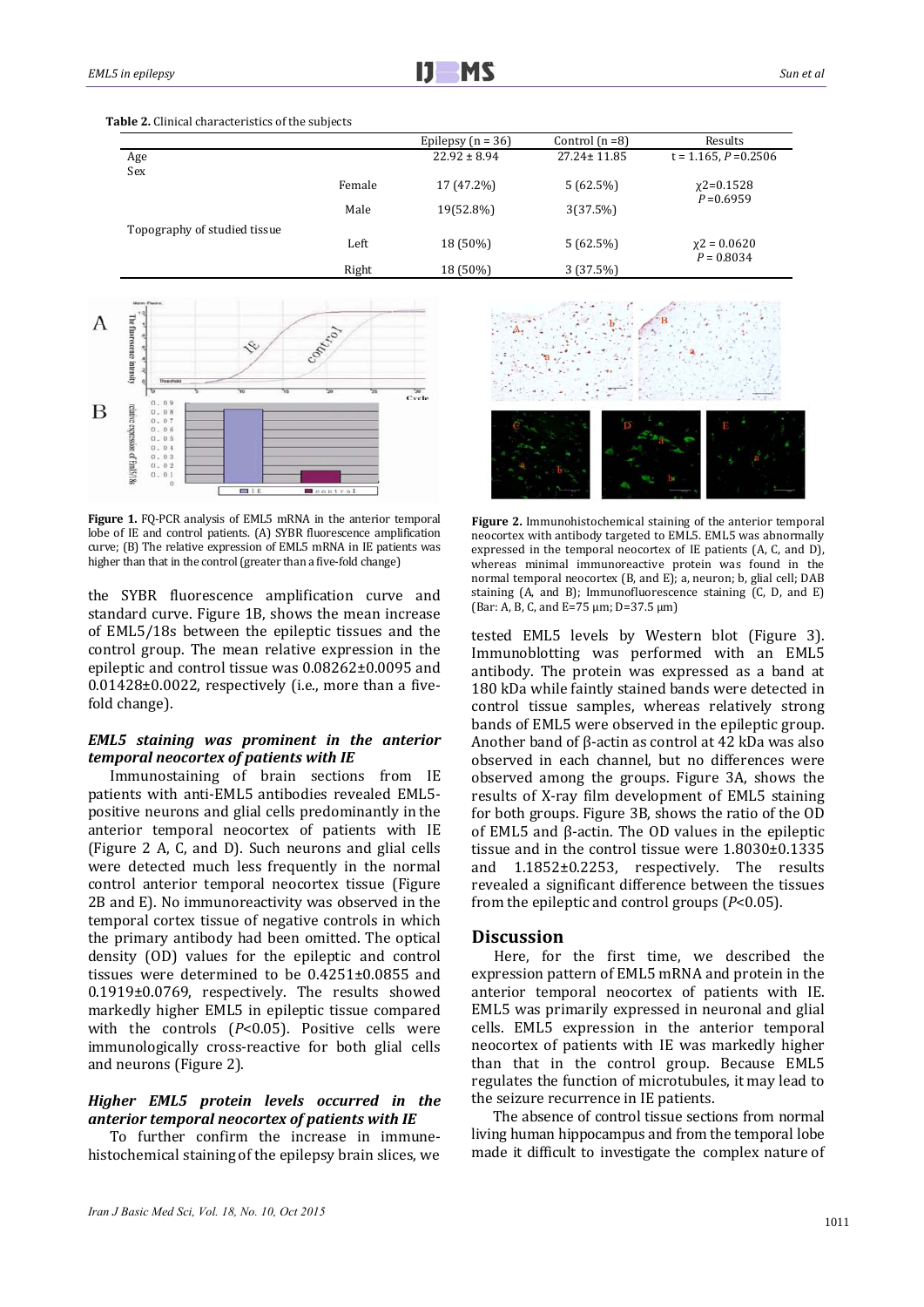|                              |        | Epilepsy $(n = 36)$ | Control $(n=8)$   | Results                        |
|------------------------------|--------|---------------------|-------------------|--------------------------------|
| Age<br>Sex                   |        | $22.92 \pm 8.94$    | $27.24 \pm 11.85$ | $t = 1.165, P = 0.2506$        |
|                              | Female | 17 (47.2%)          | 5(62.5%)          | $x2=0.1528$                    |
|                              | Male   | 19(52.8%)           | 3(37.5%)          | $P = 0.6959$                   |
| Topography of studied tissue | Left   | 18 (50%)            | 5(62.5%)          | $x^2 = 0.0620$<br>$P = 0.8034$ |
|                              | Right  | 18 (50%)            | 3 (37.5%)         |                                |





**Figure 1.** FQ-PCR analysis of EML5 mRNA in the anterior temporal lobe of IE and control patients. (A) SYBR fluorescence amplification curve; (B) The relative expression of EML5 mRNA in IE patients was higher than that in the control (greater than a five-fold change)

the SYBR fluorescence amplification curve and standard curve. Figure 1B, shows the mean increase of EML5/18s between the epileptic tissues and the control group. The mean relative expression in the epileptic and control tissue was  $0.08262\pm0.0095$  and  $0.01428\pm0.0022$ , respectively (i.e., more than a fivefold change).

# *EML5 staining was prominent in the anterior temporal neocortex of patients with IE*

Immunostaining of brain sections from IE patients with anti-EML5 antibodies revealed EML5positive neurons and glial cells predominantly in the anterior temporal neocortex of patients with IE (Figure 2 A, C, and D). Such neurons and glial cells were detected much less frequently in the normal control anterior temporal neocortex tissue (Figure 2B and E). No immunoreactivity was observed in the temporal cortex tissue of negative controls in which the primary antibody had been omitted. The optical density (OD) values for the epileptic and control tissues were determined to be  $0.4251\pm0.0855$  and 0.1919±0.0769, respectively. The results showed markedly higher EML5 in epileptic tissue compared with the controls  $(P<0.05)$ . Positive cells were immunologically cross-reactive for both glial cells and neurons (Figure 2).

### *Higher EML5 protein levels occurred in the anterior temporal neocortex of patients with IE*

To further confirm the increase in immunehistochemical staining of the epilepsy brain slices, we



Figure 2. Immunohistochemical staining of the anterior temporal neocortex with antibody targeted to EML5. EML5 was abnormally expressed in the temporal neocortex of IE patients  $(A, C, and D)$ , whereas minimal immunoreactive protein was found in the normal temporal neocortex  $(B, and E)$ ; a, neuron; b, glial cell; DAB staining  $(A,$  and  $B)$ ; Immunofluorescence staining  $(C, D,$  and  $E)$ (Bar: A, B, C, and  $E=75 \mu m$ ; D=37.5  $\mu m$ )

tested EML5 levels by Western blot (Figure 3). Immunoblotting was performed with an EML5 antibody. The protein was expressed as a band at 180 kDa while faintly stained bands were detected in control tissue samples, whereas relatively strong bands of EML5 were observed in the epileptic group. Another band of  $\beta$ -actin as control at 42 kDa was also observed in each channel, but no differences were observed among the groups. Figure 3A, shows the results of X-ray film development of EML5 staining for both groups. Figure 3B, shows the ratio of the OD of EML5 and  $\beta$ -actin. The OD values in the epileptic tissue and in the control tissue were  $1.8030\pm0.1335$ and  $1.1852\pm0.2253$ , respectively. The results revealed a significant difference between the tissues from the epileptic and control groups  $(P<0.05)$ .

#### Discussion

Here, for the first time, we described the expression pattern of EML5 mRNA and protein in the anterior temporal neocortex of patients with IE. EML5 was primarily expressed in neuronal and glial cells. EML5 expression in the anterior temporal neocortex of patients with IE was markedly higher than that in the control group. Because EML5 regulates the function of microtubules, it may lead to the seizure recurrence in IE patients.

The absence of control tissue sections from normal living human hippocampus and from the temporal lobe made it difficult to investigate the complex nature of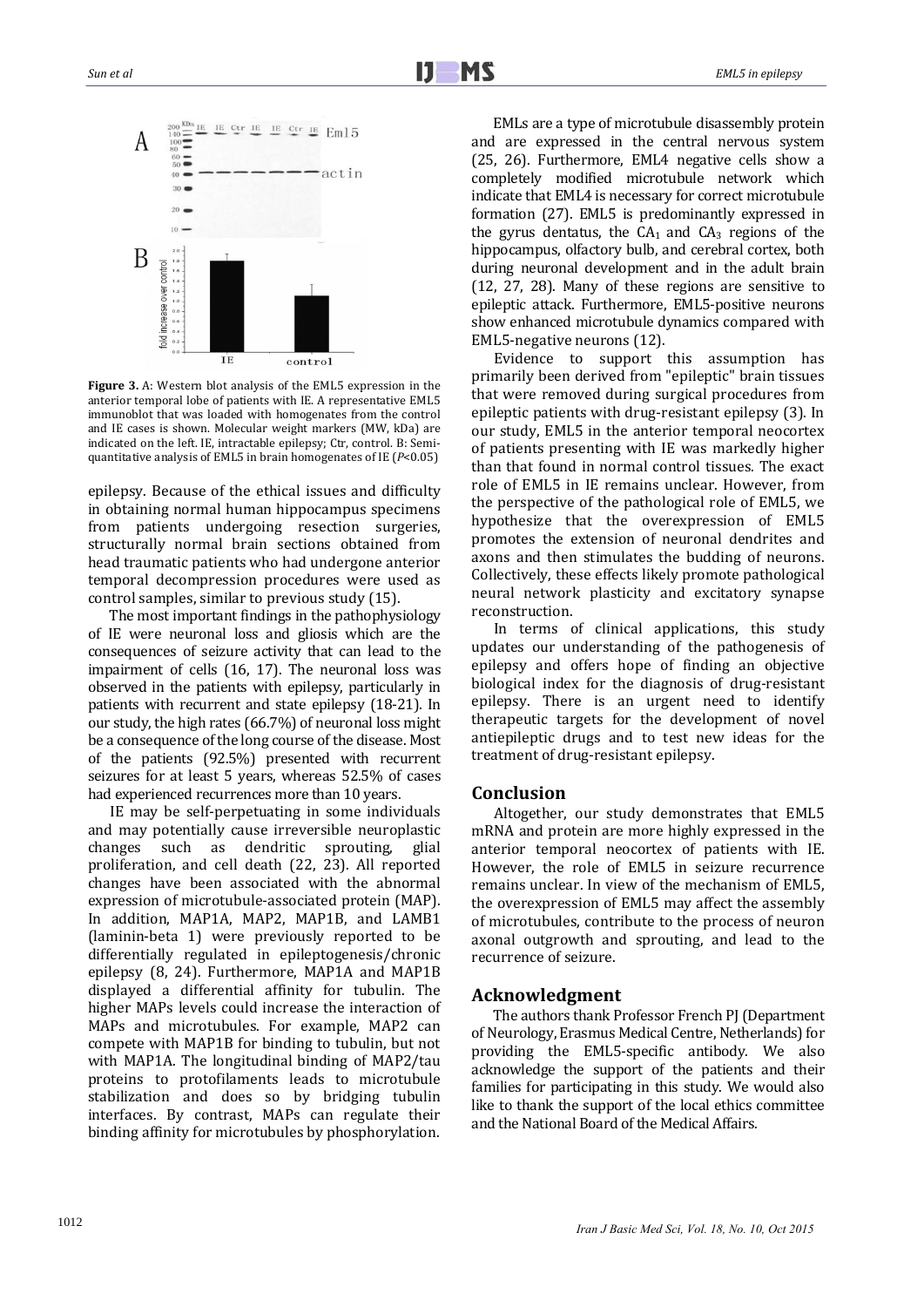

**Figure** 3. A: Western blot analysis of the EML5 expression in the anterior temporal lobe of patients with IE. A representative EML5 immunoblot that was loaded with homogenates from the control and IE cases is shown. Molecular weight markers (MW, kDa) are indicated on the left. IE, intractable epilepsy; Ctr, control. B: Semiquantitative analysis of EML5 in brain homogenates of IE  $(P<0.05)$ 

epilepsy. Because of the ethical issues and difficulty in obtaining normal human hippocampus specimens from patients undergoing resection surgeries, structurally normal brain sections obtained from head traumatic patients who had undergone anterior temporal decompression procedures were used as control samples, similar to previous study (15).

The most important findings in the pathophysiology of IE were neuronal loss and gliosis which are the consequences of seizure activity that can lead to the impairment of cells  $(16, 17)$ . The neuronal loss was observed in the patients with epilepsy, particularly in patients with recurrent and state epilepsy (18-21). In our study, the high rates  $(66.7%)$  of neuronal loss might be a consequence of the long course of the disease. Most of the patients (92.5%) presented with recurrent seizures for at least 5 years, whereas 52.5% of cases had experienced recurrences more than 10 years.

IE may be self-perpetuating in some individuals and may potentially cause irreversible neuroplastic changes such as dendritic sprouting, glial proliferation, and cell death (22, 23). All reported changes have been associated with the abnormal expression of microtubule-associated protein (MAP). In addition, MAP1A, MAP2, MAP1B, and LAMB1 (laminin-beta 1) were previously reported to be differentially regulated in epileptogenesis/chronic epilepsy (8, 24). Furthermore, MAP1A and MAP1B displayed a differential affinity for tubulin. The higher MAPs levels could increase the interaction of MAPs and microtubules. For example, MAP2 can compete with MAP1B for binding to tubulin, but not with MAP1A. The longitudinal binding of MAP2/tau proteins to protofilaments leads to microtubule stabilization and does so by bridging tubulin interfaces. By contrast, MAPs can regulate their binding affinity for microtubules by phosphorylation.

EMLs are a type of microtubule disassembly protein and are expressed in the central nervous system (25, 26). Furthermore, EML4 negative cells show a completely modified microtubule network which indicate that EML4 is necessary for correct microtubule formation (27). EML5 is predominantly expressed in the gyrus dentatus, the  $CA<sub>1</sub>$  and  $CA<sub>3</sub>$  regions of the hippocampus, olfactory bulb, and cerebral cortex, both during neuronal development and in the adult brain  $(12, 27, 28)$ . Many of these regions are sensitive to epileptic attack. Furthermore, EML5-positive neurons show enhanced microtubule dynamics compared with EML5-negative neurons (12).

Evidence to support this assumption has primarily been derived from "epileptic" brain tissues that were removed during surgical procedures from epileptic patients with drug-resistant epilepsy (3). In our study, EML5 in the anterior temporal neocortex of patients presenting with IE was markedly higher than that found in normal control tissues. The exact role of EML5 in IE remains unclear. However, from the perspective of the pathological role of EML5, we hypothesize that the overexpression of EML5 promotes the extension of neuronal dendrites and axons and then stimulates the budding of neurons. Collectively, these effects likely promote pathological neural network plasticity and excitatory synapse reconstruction. 

In terms of clinical applications, this study updates our understanding of the pathogenesis of epilepsy and offers hope of finding an objective biological index for the diagnosis of drug-resistant epilepsy. There is an urgent need to identify therapeutic targets for the development of novel antiepileptic drugs and to test new ideas for the treatment of drug-resistant epilepsy.

### **Conclusion**

Altogether, our study demonstrates that EML5 mRNA and protein are more highly expressed in the anterior temporal neocortex of patients with IE. However, the role of EML5 in seizure recurrence remains unclear. In view of the mechanism of EML5, the overexpression of EML5 may affect the assembly of microtubules, contribute to the process of neuron axonal outgrowth and sprouting, and lead to the recurrence of seizure.

#### **Acknowledgment**

The authors thank Professor French PI (Department of Neurology, Erasmus Medical Centre, Netherlands) for providing the EML5-specific antibody. We also acknowledge the support of the patients and their families for participating in this study. We would also like to thank the support of the local ethics committee and the National Board of the Medical Affairs.